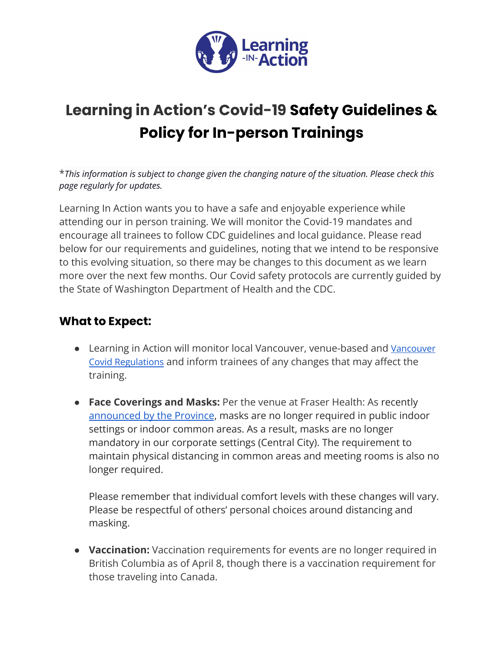

## **Learning in Action's Covid-19 Safety Guidelines & Policy for In-person Trainings**

\**This information is subject to change given the changing nature of the situation. Please check this page regularly for updates.*

Learning In Action wants you to have a safe and enjoyable experience while attending our in person training. We will monitor the Covid-19 mandates and encourage all trainees to follow CDC guidelines and local guidance. Please read below for our requirements and guidelines, noting that we intend to be responsive to this evolving situation, so there may be changes to this document as we learn more over the next few months. Our Covid safety protocols are currently guided by the State of Washington Department of Health and the CDC.

## **What to Expect:**

- Learning in Action will monitor local [Vancouver](https://www2.gov.bc.ca/gov/content/covid-19/info/restrictions#pho-order), venue-based and Vancouver Covid [Regulations](https://www2.gov.bc.ca/gov/content/covid-19/info/restrictions#pho-order) and inform trainees of any changes that may affect the training.
- **Face Coverings and Masks:** Per the venue at Fraser Health: As recently [announced by the Province](https://www2.gov.bc.ca/gov/content/covid-19/info/restrictions#changes?utm_source=newsletter&utm_medium=email&utm_campaign=HRNewesletter031122), masks are no longer required in public indoor settings or indoor common areas. As a result, masks are no longer mandatory in our corporate settings (Central City). The requirement to maintain physical distancing in common areas and meeting rooms is also no longer required.

Please remember that individual comfort levels with these changes will vary. Please be respectful of others' personal choices around distancing and masking.

● **Vaccination:** Vaccination requirements for events are no longer required in British Columbia as of April 8, though there is a vaccination requirement for those traveling into Canada.